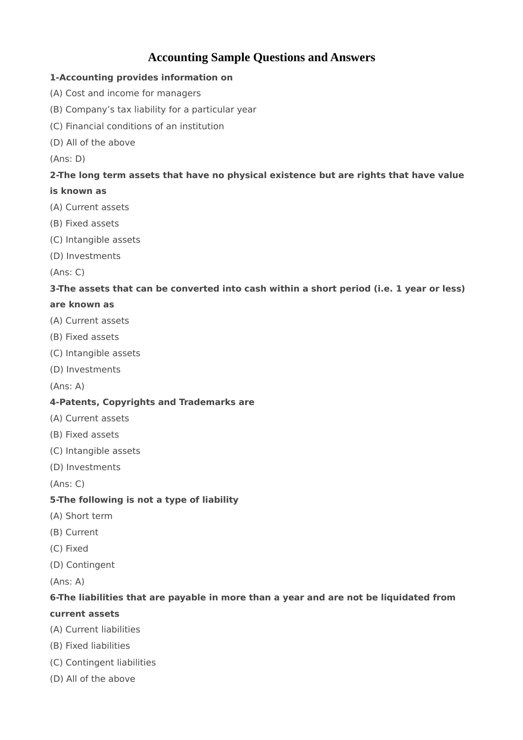# **Accounting Sample Questions and Answers**

#### **1-Accounting provides information on**

- (A) Cost and income for managers
- (B) Company's tax liability for a particular year
- (C) Financial conditions of an institution
- (D) All of the above

(Ans: D)

# **2-The long term assets that have no physical existence but are rights that have value**

#### **is known as**

- (A) Current assets
- (B) Fixed assets
- (C) Intangible assets
- (D) Investments

(Ans: C)

# **3-The assets that can be converted into cash within a short period (i.e. 1 year or less)**

#### **are known as**

- (A) Current assets
- (B) Fixed assets
- (C) Intangible assets
- (D) Investments

(Ans: A)

#### **4-Patents, Copyrights and Trademarks are**

- (A) Current assets
- (B) Fixed assets
- (C) Intangible assets
- (D) Investments

(Ans: C)

# **5-The following is not a type of liability**

- (A) Short term
- (B) Current
- (C) Fixed
- (D) Contingent
- (Ans: A)

# **6-The liabilities that are payable in more than a year and are not be liquidated from**

#### **current assets**

- (A) Current liabilities
- (B) Fixed liabilities
- (C) Contingent liabilities
- (D) All of the above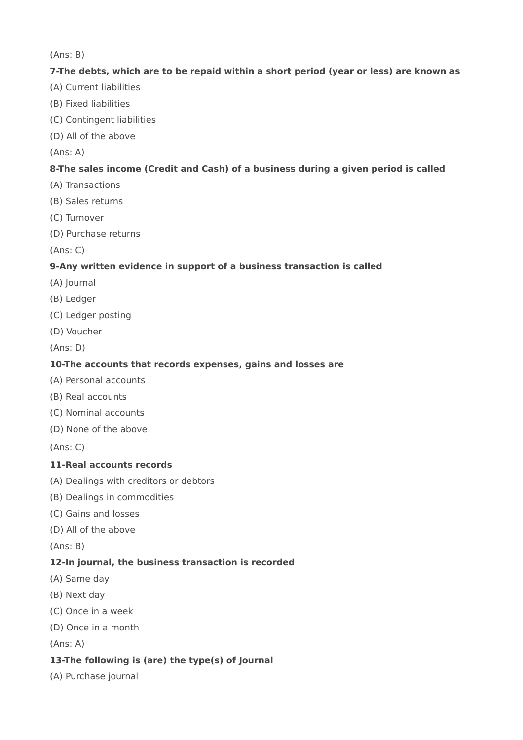(Ans: B)

#### **7-The debts, which are to be repaid within a short period (year or less) are known as**

- (A) Current liabilities
- (B) Fixed liabilities
- (C) Contingent liabilities
- (D) All of the above

(Ans: A)

#### **8-The sales income (Credit and Cash) of a business during a given period is called**

- (A) Transactions
- (B) Sales returns
- (C) Turnover
- (D) Purchase returns

(Ans: C)

#### **9-Any written evidence in support of a business transaction is called**

- (A) Journal
- (B) Ledger
- (C) Ledger posting
- (D) Voucher

(Ans: D)

#### **10-The accounts that records expenses, gains and losses are**

- (A) Personal accounts
- (B) Real accounts
- (C) Nominal accounts
- (D) None of the above

(Ans: C)

#### **11-Real accounts records**

- (A) Dealings with creditors or debtors
- (B) Dealings in commodities
- (C) Gains and losses
- (D) All of the above

(Ans: B)

#### **12-In journal, the business transaction is recorded**

- (A) Same day
- (B) Next day
- (C) Once in a week
- (D) Once in a month

(Ans: A)

# **13-The following is (are) the type(s) of Journal**

(A) Purchase journal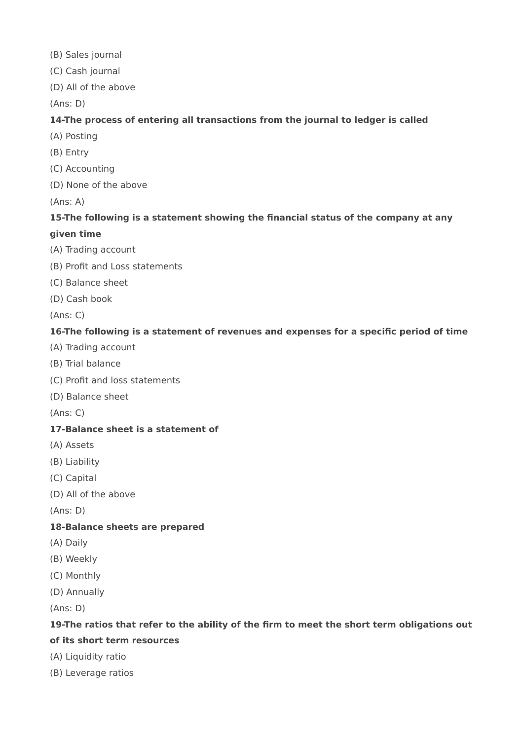- (B) Sales journal
- (C) Cash journal
- (D) All of the above

(Ans: D)

# **14-The process of entering all transactions from the journal to ledger is called**

- (A) Posting
- (B) Entry
- (C) Accounting
- (D) None of the above

(Ans: A)

# **15-The following is a statement showing the financial status of the company at any**

#### **given time**

- (A) Trading account
- (B) Profit and Loss statements
- (C) Balance sheet
- (D) Cash book

(Ans: C)

# **16-The following is a statement of revenues and expenses for a specific period of time**

- (A) Trading account
- (B) Trial balance
- (C) Profit and loss statements
- (D) Balance sheet

(Ans: C)

#### **17-Balance sheet is a statement of**

- (A) Assets
- (B) Liability
- (C) Capital
- (D) All of the above

(Ans: D)

#### **18-Balance sheets are prepared**

- (A) Daily
- (B) Weekly
- (C) Monthly
- (D) Annually

(Ans: D)

#### **19-The ratios that refer to the ability of the firm to meet the short term obligations out**

# **of its short term resources**

- (A) Liquidity ratio
- (B) Leverage ratios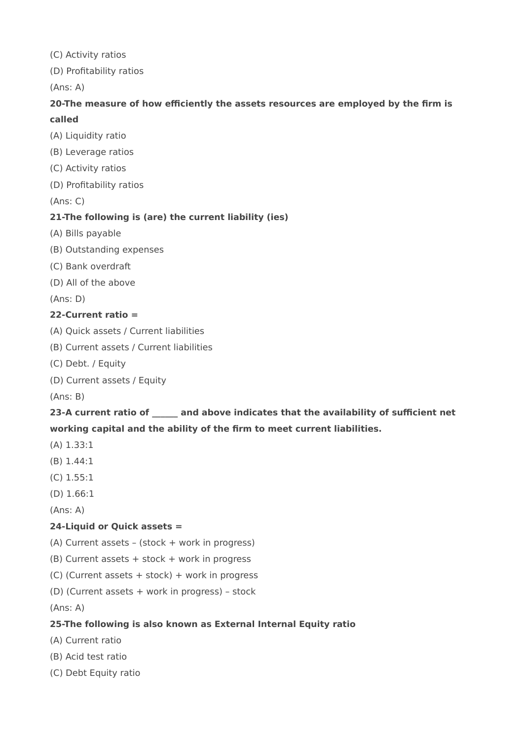(C) Activity ratios

(D) Profitability ratios

(Ans: A)

# **20-The measure of how efficiently the assets resources are employed by the firm is called**

- (A) Liquidity ratio
- (B) Leverage ratios
- (C) Activity ratios
- (D) Profitability ratios

(Ans: C)

# **21-The following is (are) the current liability (ies)**

- (A) Bills payable
- (B) Outstanding expenses
- (C) Bank overdraft
- (D) All of the above

(Ans: D)

#### **22-Current ratio =**

- (A) Quick assets / Current liabilities
- (B) Current assets / Current liabilities
- (C) Debt. / Equity
- (D) Current assets / Equity

(Ans: B)

# **23-A current ratio of \_\_\_\_\_\_ and above indicates that the availability of sufficient net working capital and the ability of the firm to meet current liabilities.**

- (A) 1.33:1
- (B) 1.44:1
- (C) 1.55:1
- (D) 1.66:1
- (Ans: A)

# **24-Liquid or Quick assets =**

- (A) Current assets (stock + work in progress)
- (B) Current assets + stock + work in progress
- (C) (Current assets + stock) + work in progress
- (D) (Current assets + work in progress) stock

(Ans: A)

#### **25-The following is also known as External Internal Equity ratio**

- (A) Current ratio
- (B) Acid test ratio
- (C) Debt Equity ratio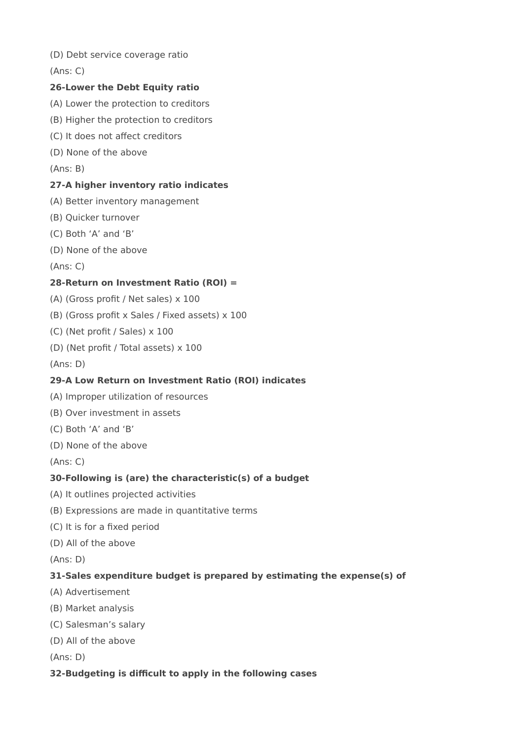(D) Debt service coverage ratio

(Ans: C)

# **26-Lower the Debt Equity ratio**

- (A) Lower the protection to creditors
- (B) Higher the protection to creditors
- (C) It does not affect creditors
- (D) None of the above
- (Ans: B)

#### **27-A higher inventory ratio indicates**

- (A) Better inventory management
- (B) Quicker turnover
- (C) Both 'A' and 'B'
- (D) None of the above

(Ans: C)

# **28-Return on Investment Ratio (ROI) =**

- (A) (Gross profit / Net sales) x 100
- (B) (Gross profit x Sales / Fixed assets) x 100
- (C) (Net profit / Sales) x 100
- (D) (Net profit / Total assets) x 100
- (Ans: D)

# **29-A Low Return on Investment Ratio (ROI) indicates**

- (A) Improper utilization of resources
- (B) Over investment in assets
- (C) Both 'A' and 'B'
- (D) None of the above

(Ans: C)

# **30-Following is (are) the characteristic(s) of a budget**

- (A) It outlines projected activities
- (B) Expressions are made in quantitative terms
- (C) It is for a fixed period
- (D) All of the above
- (Ans: D)

# **31-Sales expenditure budget is prepared by estimating the expense(s) of**

- (A) Advertisement
- (B) Market analysis
- (C) Salesman's salary
- (D) All of the above

(Ans: D)

#### **32-Budgeting is difficult to apply in the following cases**